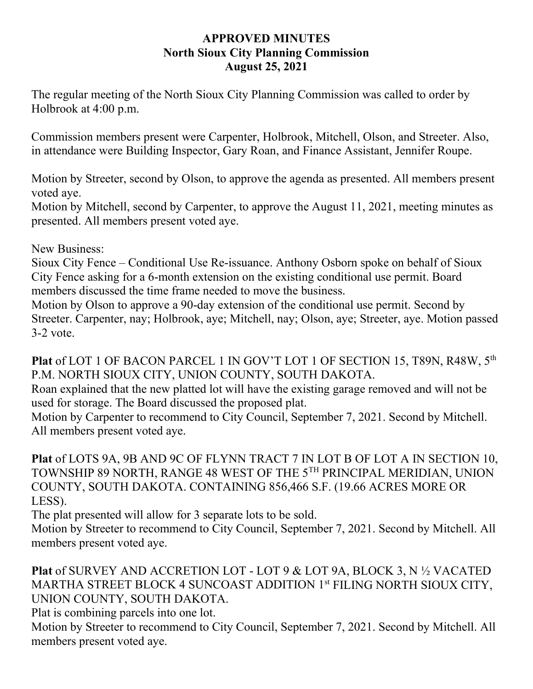## **APPROVED MINUTES North Sioux City Planning Commission August 25, 2021**

The regular meeting of the North Sioux City Planning Commission was called to order by Holbrook at 4:00 p.m.

Commission members present were Carpenter, Holbrook, Mitchell, Olson, and Streeter. Also, in attendance were Building Inspector, Gary Roan, and Finance Assistant, Jennifer Roupe.

Motion by Streeter, second by Olson, to approve the agenda as presented. All members present voted aye.

Motion by Mitchell, second by Carpenter, to approve the August 11, 2021, meeting minutes as presented. All members present voted aye.

New Business:

Sioux City Fence – Conditional Use Re-issuance. Anthony Osborn spoke on behalf of Sioux City Fence asking for a 6-month extension on the existing conditional use permit. Board members discussed the time frame needed to move the business.

Motion by Olson to approve a 90-day extension of the conditional use permit. Second by Streeter. Carpenter, nay; Holbrook, aye; Mitchell, nay; Olson, aye; Streeter, aye. Motion passed 3-2 vote.

Plat of LOT 1 OF BACON PARCEL 1 IN GOV'T LOT 1 OF SECTION 15, T89N, R48W, 5<sup>th</sup> P.M. NORTH SIOUX CITY, UNION COUNTY, SOUTH DAKOTA.

Roan explained that the new platted lot will have the existing garage removed and will not be used for storage. The Board discussed the proposed plat.

Motion by Carpenter to recommend to City Council, September 7, 2021. Second by Mitchell. All members present voted aye.

**Plat** of LOTS 9A, 9B AND 9C OF FLYNN TRACT 7 IN LOT B OF LOT A IN SECTION 10, TOWNSHIP 89 NORTH, RANGE 48 WEST OF THE 5TH PRINCIPAL MERIDIAN, UNION COUNTY, SOUTH DAKOTA. CONTAINING 856,466 S.F. (19.66 ACRES MORE OR LESS).

The plat presented will allow for 3 separate lots to be sold.

Motion by Streeter to recommend to City Council, September 7, 2021. Second by Mitchell. All members present voted aye.

**Plat** of SURVEY AND ACCRETION LOT - LOT 9 & LOT 9A, BLOCK 3, N ½ VACATED MARTHA STREET BLOCK 4 SUNCOAST ADDITION 1st FILING NORTH SIOUX CITY, UNION COUNTY, SOUTH DAKOTA.

Plat is combining parcels into one lot.

Motion by Streeter to recommend to City Council, September 7, 2021. Second by Mitchell. All members present voted aye.